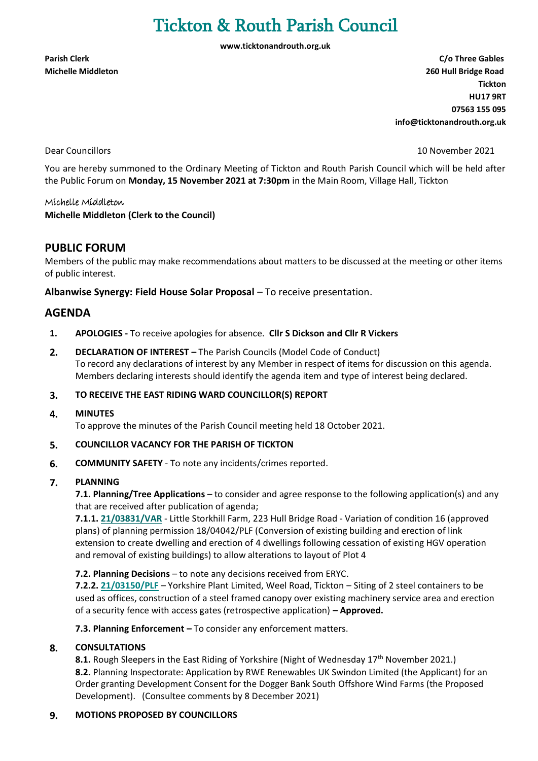# Tickton & Routh Parish Council

**[www.ticktonandrouth.org.uk](http://www.ticktonandrouth.org.uk/)**

**Parish Clerk C/o Three Gables Michelle Middleton 260 Hull Bridge Road Tickton HU17 9RT 07563 155 095 [info@ticktonandrouth.org.uk](mailto:info@ticktonandrouth.org.uk)** 

Dear Councillors 10 November 2021

You are hereby summoned to the Ordinary Meeting of Tickton and Routh Parish Council which will be held after the Public Forum on **Monday, 15 November 2021 at 7:30pm** in the Main Room, Village Hall, Tickton

#### Michelle Middleton

#### **Michelle Middleton (Clerk to the Council)**

## **PUBLIC FORUM**

Members of the public may make recommendations about matters to be discussed at the meeting or other items of public interest.

**Albanwise Synergy: Field House Solar Proposal** – To receive presentation.

## **AGENDA**

- **1. APOLOGIES -** To receive apologies for absence. **Cllr S Dickson and Cllr R Vickers**
- **2. DECLARATION OF INTEREST –** The Parish Councils (Model Code of Conduct) To record any declarations of interest by any Member in respect of items for discussion on this agenda. Members declaring interests should identify the agenda item and type of interest being declared.
- **3. TO RECEIVE THE EAST RIDING WARD COUNCILLOR(S) REPORT**

#### **4. MINUTES**

To approve the minutes of the Parish Council meeting held 18 October 2021.

#### **5. COUNCILLOR VACANCY FOR THE PARISH OF TICKTON**

**6. COMMUNITY SAFETY** - To note any incidents/crimes reported.

#### **7. PLANNING**

**7.1. Planning/Tree Applications** – to consider and agree response to the following application(s) and any that are received after publication of agenda;

**7.1.1. [21/03831/VAR](https://newplanningaccess.eastriding.gov.uk/newplanningaccess/PLAN/21/03831/VAR)** - Little Storkhill Farm, 223 Hull Bridge Road - Variation of condition 16 (approved plans) of planning permission 18/04042/PLF (Conversion of existing building and erection of link extension to create dwelling and erection of 4 dwellings following cessation of existing HGV operation and removal of existing buildings) to allow alterations to layout of Plot 4

**7.2. Planning Decisions** – to note any decisions received from ERYC.

**7.2.2[. 21/03150/PLF](https://newplanningaccess.eastriding.gov.uk/newplanningaccess/PLAN/21/03150/PLF)** – Yorkshire Plant Limited, Weel Road, Tickton – Siting of 2 steel containers to be used as offices, construction of a steel framed canopy over existing machinery service area and erection of a security fence with access gates (retrospective application) **– Approved.**

**7.3. Planning Enforcement –** To consider any enforcement matters.

#### **8. CONSULTATIONS**

**8.1.** Rough Sleepers in the East Riding of Yorkshire (Night of Wednesday 17<sup>th</sup> November 2021.) **8.2.** Planning Inspectorate: Application by RWE Renewables UK Swindon Limited (the Applicant) for an Order granting Development Consent for the Dogger Bank South Offshore Wind Farms (the Proposed Development). (Consultee comments by 8 December 2021)

#### **9. MOTIONS PROPOSED BY COUNCILLORS**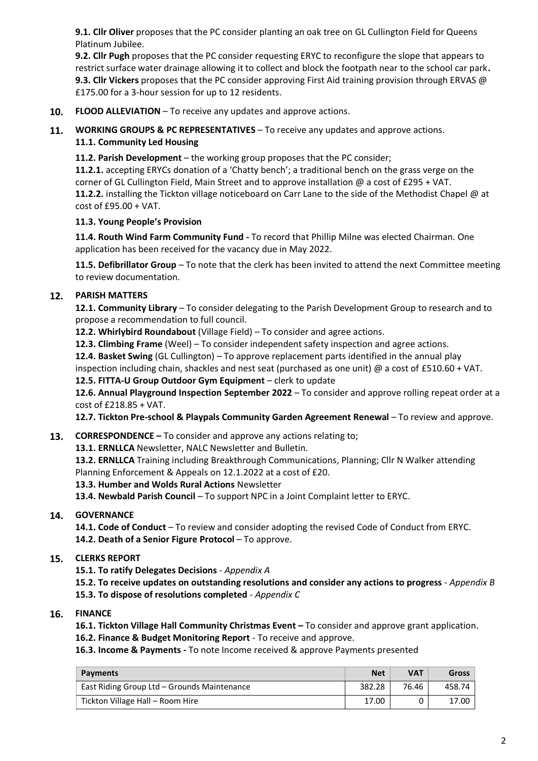**9.1. Cllr Oliver** proposes that the PC consider planting an oak tree on GL Cullington Field for Queens Platinum Jubilee.

**9.2. Cllr Pugh** proposes that the PC consider requesting ERYC to reconfigure the slope that appears to restrict surface water drainage allowing it to collect and block the footpath near to the school car park**. 9.3. Cllr Vickers** proposes that the PC consider approving First Aid training provision through ERVAS @ £175.00 for a 3-hour session for up to 12 residents.

- **10. FLOOD ALLEVIATION** To receive any updates and approve actions.
- **11. WORKING GROUPS & PC REPRESENTATIVES** To receive any updates and approve actions. **11.1. Community Led Housing**

**11.2. Parish Development** – the working group proposes that the PC consider;

**11.2.1.** accepting ERYCs donation of a 'Chatty bench'; a traditional bench on the grass verge on the corner of GL Cullington Field, Main Street and to approve installation @ a cost of £295 + VAT. **11.2.2.** installing the Tickton village noticeboard on Carr Lane to the side of the Methodist Chapel @ at cost of £95.00 + VAT.

#### **11.3. Young People's Provision**

**11.4. Routh Wind Farm Community Fund -** To record that Phillip Milne was elected Chairman. One application has been received for the vacancy due in May 2022.

**11.5. Defibrillator Group** – To note that the clerk has been invited to attend the next Committee meeting to review documentation.

### **12. PARISH MATTERS**

**12.1. Community Library** – To consider delegating to the Parish Development Group to research and to propose a recommendation to full council.

**12.2. Whirlybird Roundabout** (Village Field) – To consider and agree actions.

**12.3. Climbing Frame** (Weel) – To consider independent safety inspection and agree actions.

**12.4. Basket Swing** (GL Cullington) – To approve replacement parts identified in the annual play

inspection including chain, shackles and nest seat (purchased as one unit) @ a cost of £510.60 + VAT.

**12.5. FITTA-U Group Outdoor Gym Equipment** – clerk to update

**12.6. Annual Playground Inspection September 2022** – To consider and approve rolling repeat order at a cost of £218.85 + VAT.

**12.7. Tickton Pre-school & Playpals Community Garden Agreement Renewal** – To review and approve.

**13. CORRESPONDENCE –** To consider and approve any actions relating to;

**13.1. ERNLLCA** Newsletter, NALC Newsletter and Bulletin.

**13.2. ERNLLCA** Training including Breakthrough Communications, Planning; Cllr N Walker attending Planning Enforcement & Appeals on 12.1.2022 at a cost of £20.

**13.3. Humber and Wolds Rural Actions** Newsletter

**13.4. Newbald Parish Council** – To support NPC in a Joint Complaint letter to ERYC.

## **14. GOVERNANCE**

**14.1. Code of Conduct** – To review and consider adopting the revised Code of Conduct from ERYC. 14.2. Death of a Senior Figure Protocol – To approve.

#### **15. CLERKS REPORT**

**15.1. To ratify Delegates Decisions** *- Appendix A*

**15.2. To receive updates on outstanding resolutions and consider any actions to progress** *- Appendix B* **15.3. To dispose of resolutions completed** *- Appendix C*

**16. FINANCE**

**16.1. Tickton Village Hall Community Christmas Event –** To consider and approve grant application.

**16.2. Finance & Budget Monitoring Report** - To receive and approve.

**16.3. Income & Payments -** To note Income received & approve Payments presented

| <b>Payments</b>                             | <b>Net</b> | VAT   | <b>Gross</b> |
|---------------------------------------------|------------|-------|--------------|
| East Riding Group Ltd - Grounds Maintenance | 382.28     | 76.46 | 458.74       |
| Tickton Village Hall - Room Hire            | 17.00      |       | 17.00        |